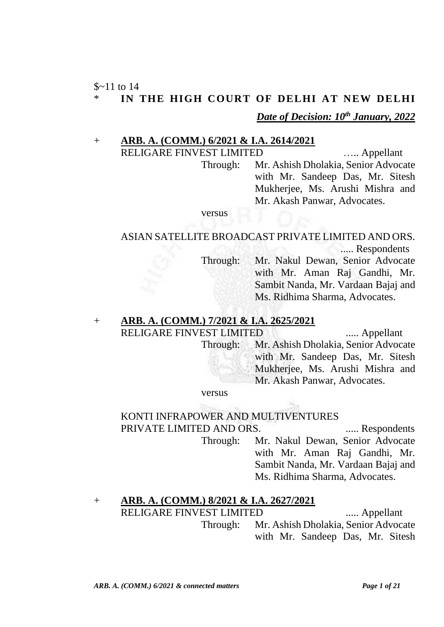## $$~11$  to 14 IN THE HIGH COURT OF DELHI AT NEW DELHI *Date of Decision: 10th January, 2022*

#### + **ARB. A. (COMM.) 6/2021 & I.A. 2614/2021**

RELIGARE FINVEST LIMITED ...... Appellant Through: Mr. Ashish Dholakia, Senior Advocate with Mr. Sandeep Das, Mr. Sitesh Mukherjee, Ms. Arushi Mishra and Mr. Akash Panwar, Advocates.

versus

#### ASIAN SATELLITE BROADCAST PRIVATE LIMITED AND ORS.

..... Respondents

Through: Mr. Nakul Dewan, Senior Advocate with Mr. Aman Raj Gandhi, Mr. Sambit Nanda, Mr. Vardaan Bajaj and Ms. Ridhima Sharma, Advocates.

## + **ARB. A. (COMM.) 7/2021 & I.A. 2625/2021**

RELIGARE FINVEST LIMITED ...... Appellant Through: Mr. Ashish Dholakia, Senior Advocate with Mr. Sandeep Das, Mr. Sitesh Mukherjee, Ms. Arushi Mishra and Mr. Akash Panwar, Advocates.

versus

# KONTI INFRAPOWER AND MULTIVENTURES

PRIVATE LIMITED AND ORS. ...... Respondents Through: Mr. Nakul Dewan, Senior Advocate with Mr. Aman Raj Gandhi, Mr. Sambit Nanda, Mr. Vardaan Bajaj and Ms. Ridhima Sharma, Advocates.

#### + **ARB. A. (COMM.) 8/2021 & I.A. 2627/2021** RELIGARE FINVEST LIMITED ...... Appellant Through: Mr. Ashish Dholakia, Senior Advocate with Mr. Sandeep Das, Mr. Sitesh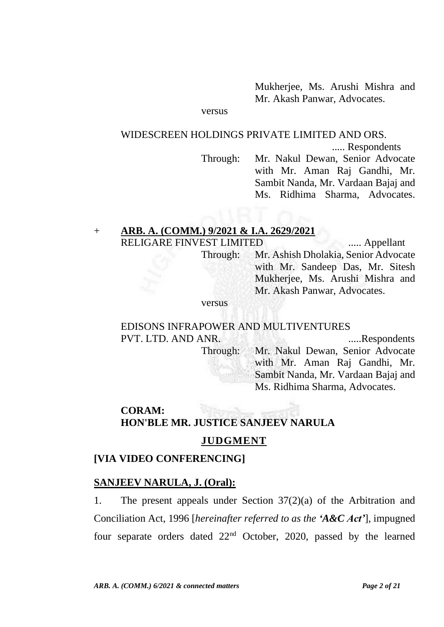Mukherjee, Ms. Arushi Mishra and Mr. Akash Panwar, Advocates.

versus

#### WIDESCREEN HOLDINGS PRIVATE LIMITED AND ORS.

..... Respondents

Through: Mr. Nakul Dewan, Senior Advocate with Mr. Aman Raj Gandhi, Mr. Sambit Nanda, Mr. Vardaan Bajaj and Ms. Ridhima Sharma, Advocates.

Ms. Ridhima Sharma, Advocates.

## + **ARB. A. (COMM.) 9/2021 & I.A. 2629/2021** RELIGARE FINVEST LIMITED ...... Appellant

Through: Mr. Ashish Dholakia, Senior Advocate with Mr. Sandeep Das, Mr. Sitesh Mukherjee, Ms. Arushi Mishra and Mr. Akash Panwar, Advocates.

versus

### EDISONS INFRAPOWER AND MULTIVENTURES PVT. LTD. AND ANR. .....Respondents Through: Mr. Nakul Dewan, Senior Advocate with Mr. Aman Raj Gandhi, Mr. Sambit Nanda, Mr. Vardaan Bajaj and

# **CORAM: HON'BLE MR. JUSTICE SANJEEV NARULA**

### **JUDGMENT**

### **[VIA VIDEO CONFERENCING]**

#### **SANJEEV NARULA, J. (Oral):**

1. The present appeals under Section 37(2)(a) of the Arbitration and Conciliation Act, 1996 [*hereinafter referred to as the 'A&C Act'*], impugned four separate orders dated 22nd October, 2020, passed by the learned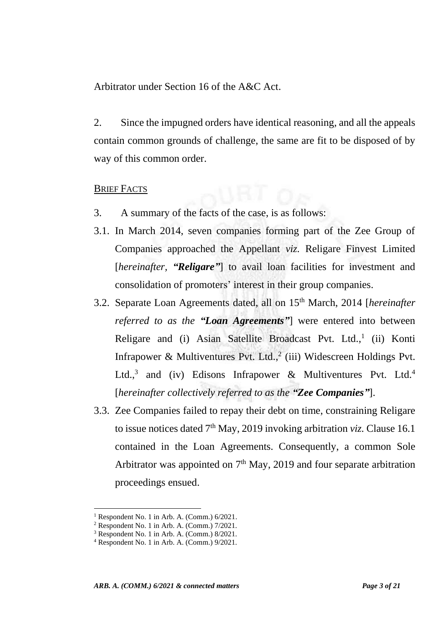Arbitrator under Section 16 of the A&C Act.

2. Since the impugned orders have identical reasoning, and all the appeals contain common grounds of challenge, the same are fit to be disposed of by way of this common order.

#### BRIEF FACTS

- 3. A summary of the facts of the case, is as follows:
- 3.1. In March 2014, seven companies forming part of the Zee Group of Companies approached the Appellant *viz.* Religare Finvest Limited [*hereinafter, "Religare"*] to avail loan facilities for investment and consolidation of promoters' interest in their group companies.
- 3.2. Separate Loan Agreements dated, all on 15th March, 2014 [*hereinafter referred to as the "Loan Agreements"*] were entered into between Religare and (i) Asian Satellite Broadcast Pvt. Ltd.,<sup>1</sup> (ii) Konti Infrapower & Multiventures Pvt. Ltd.,<sup>2</sup> (iii) Widescreen Holdings Pvt. Ltd.,<sup>3</sup> and (iv) Edisons Infrapower & Multiventures Pvt. Ltd.<sup>4</sup> [*hereinafter collectively referred to as the "Zee Companies"*].
- 3.3. Zee Companies failed to repay their debt on time, constraining Religare to issue notices dated  $7<sup>th</sup>$  May, 2019 invoking arbitration *viz*. Clause 16.1 contained in the Loan Agreements. Consequently, a common Sole Arbitrator was appointed on  $7<sup>th</sup>$  May, 2019 and four separate arbitration proceedings ensued.

<sup>&</sup>lt;sup>1</sup> Respondent No. 1 in Arb. A. (Comm.)  $6/2021$ .

 $2$  Respondent No. 1 in Arb. A. (Comm.) 7/2021.

<sup>3</sup> Respondent No. 1 in Arb. A. (Comm.) 8/2021.

<sup>4</sup> Respondent No. 1 in Arb. A. (Comm.) 9/2021.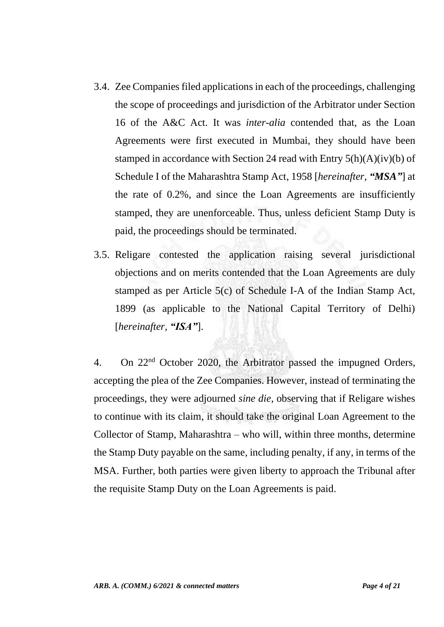- 3.4. Zee Companies filed applications in each of the proceedings, challenging the scope of proceedings and jurisdiction of the Arbitrator under Section 16 of the A&C Act. It was *inter-alia* contended that, as the Loan Agreements were first executed in Mumbai, they should have been stamped in accordance with Section 24 read with Entry 5(h)(A)(iv)(b) of Schedule I of the Maharashtra Stamp Act, 1958 [*hereinafter, "MSA"*] at the rate of 0.2%, and since the Loan Agreements are insufficiently stamped, they are unenforceable. Thus, unless deficient Stamp Duty is paid, the proceedings should be terminated.
- 3.5. Religare contested the application raising several jurisdictional objections and on merits contended that the Loan Agreements are duly stamped as per Article 5(c) of Schedule I-A of the Indian Stamp Act, 1899 (as applicable to the National Capital Territory of Delhi) [*hereinafter, "ISA"*].

4. On 22nd October 2020, the Arbitrator passed the impugned Orders, accepting the plea of the Zee Companies. However, instead of terminating the proceedings, they were adjourned *sine die*, observing that if Religare wishes to continue with its claim, it should take the original Loan Agreement to the Collector of Stamp, Maharashtra – who will, within three months, determine the Stamp Duty payable on the same, including penalty, if any, in terms of the MSA. Further, both parties were given liberty to approach the Tribunal after the requisite Stamp Duty on the Loan Agreements is paid.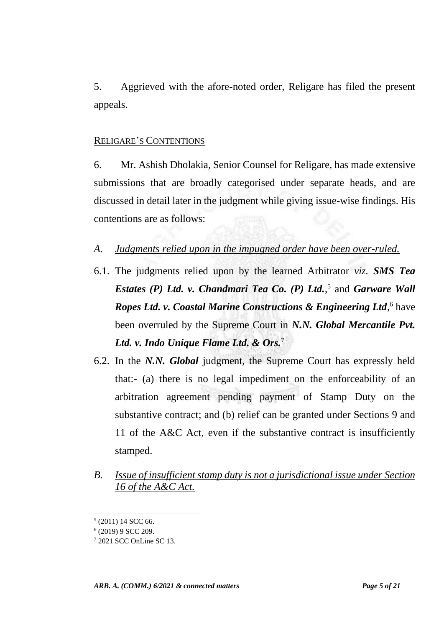5. Aggrieved with the afore-noted order, Religare has filed the present appeals.

#### RELIGARE'S CONTENTIONS

6. Mr. Ashish Dholakia, Senior Counsel for Religare, has made extensive submissions that are broadly categorised under separate heads, and are discussed in detail later in the judgment while giving issue-wise findings. His contentions are as follows:

*A. Judgments relied upon in the impugned order have been over-ruled.*

- 6.1. The judgments relied upon by the learned Arbitrator *viz. SMS Tea Estates (P) Ltd. v. Chandmari Tea Co. (P) Ltd.*, 5 and *Garware Wall*  Ropes Ltd. v. Coastal Marine Constructions & Engineering Ltd,<sup>6</sup> have been overruled by the Supreme Court in *N.N. Global Mercantile Pvt. Ltd. v. Indo Unique Flame Ltd. & Ors.*<sup>7</sup>
- 6.2. In the *N.N. Global* judgment, the Supreme Court has expressly held that:- (a) there is no legal impediment on the enforceability of an arbitration agreement pending payment of Stamp Duty on the substantive contract; and (b) relief can be granted under Sections 9 and 11 of the A&C Act, even if the substantive contract is insufficiently stamped.
- *B. Issue of insufficient stamp duty is not a jurisdictional issue under Section 16 of the A&C Act.*

 $<sup>5</sup>$  (2011) 14 SCC 66.</sup>

<sup>6</sup> (2019) 9 SCC 209.

<sup>7</sup> 2021 SCC OnLine SC 13.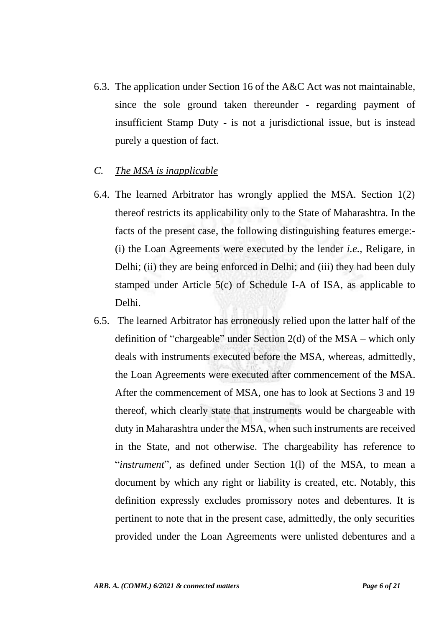- 6.3. The application under Section 16 of the A&C Act was not maintainable, since the sole ground taken thereunder - regarding payment of insufficient Stamp Duty - is not a jurisdictional issue, but is instead purely a question of fact.
- *C. The MSA is inapplicable*
- 6.4. The learned Arbitrator has wrongly applied the MSA. Section 1(2) thereof restricts its applicability only to the State of Maharashtra. In the facts of the present case, the following distinguishing features emerge:- (i) the Loan Agreements were executed by the lender *i.e.,* Religare, in Delhi; (ii) they are being enforced in Delhi; and (iii) they had been duly stamped under Article 5(c) of Schedule I-A of ISA, as applicable to Delhi.
- 6.5. The learned Arbitrator has erroneously relied upon the latter half of the definition of "chargeable" under Section 2(d) of the MSA – which only deals with instruments executed before the MSA, whereas, admittedly, the Loan Agreements were executed after commencement of the MSA. After the commencement of MSA, one has to look at Sections 3 and 19 thereof, which clearly state that instruments would be chargeable with duty in Maharashtra under the MSA, when such instruments are received in the State, and not otherwise. The chargeability has reference to "*instrument*", as defined under Section 1(l) of the MSA, to mean a document by which any right or liability is created, etc. Notably, this definition expressly excludes promissory notes and debentures. It is pertinent to note that in the present case, admittedly, the only securities provided under the Loan Agreements were unlisted debentures and a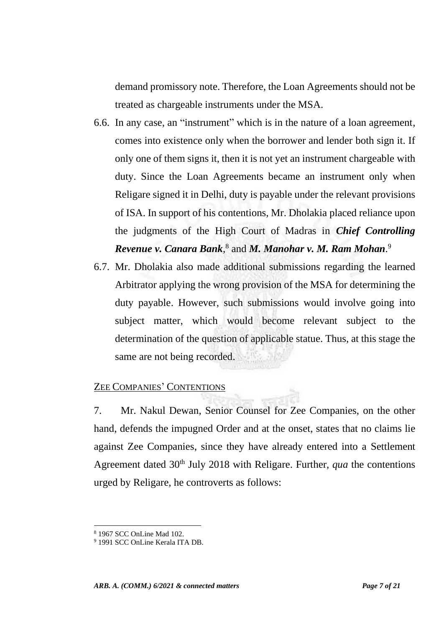demand promissory note. Therefore, the Loan Agreements should not be treated as chargeable instruments under the MSA.

- 6.6. In any case, an "instrument" which is in the nature of a loan agreement, comes into existence only when the borrower and lender both sign it. If only one of them signs it, then it is not yet an instrument chargeable with duty. Since the Loan Agreements became an instrument only when Religare signed it in Delhi, duty is payable under the relevant provisions of ISA. In support of his contentions, Mr. Dholakia placed reliance upon the judgments of the High Court of Madras in *Chief Controlling Revenue v. Canara Bank*, 8 and *M. Manohar v. M. Ram Mohan*. 9
- 6.7. Mr. Dholakia also made additional submissions regarding the learned Arbitrator applying the wrong provision of the MSA for determining the duty payable. However, such submissions would involve going into subject matter, which would become relevant subject to the determination of the question of applicable statue. Thus, at this stage the same are not being recorded.

#### ZEE COMPANIES' CONTENTIONS

7. Mr. Nakul Dewan, Senior Counsel for Zee Companies, on the other hand, defends the impugned Order and at the onset, states that no claims lie against Zee Companies, since they have already entered into a Settlement Agreement dated 30<sup>th</sup> July 2018 with Religare. Further, *qua* the contentions urged by Religare, he controverts as follows:

<sup>8</sup> 1967 SCC OnLine Mad 102.

<sup>9</sup> 1991 SCC OnLine Kerala ITA DB.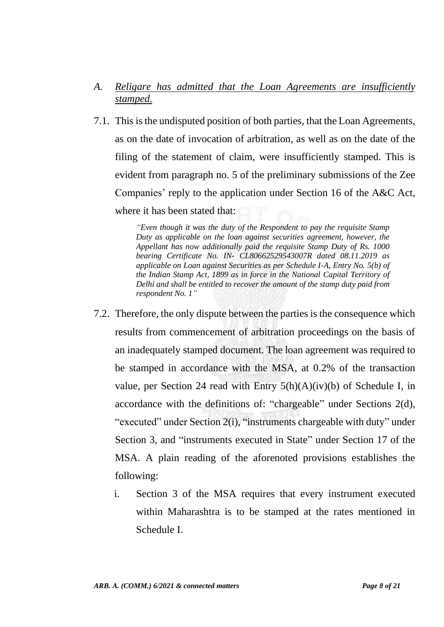- *A. Religare has admitted that the Loan Agreements are insufficiently stamped.*
- 7.1. This is the undisputed position of both parties, that the Loan Agreements, as on the date of invocation of arbitration, as well as on the date of the filing of the statement of claim, were insufficiently stamped. This is evident from paragraph no. 5 of the preliminary submissions of the Zee Companies' reply to the application under Section 16 of the A&C Act, where it has been stated that:

*"Even though it was the duty of the Respondent to pay the requisite Stamp Duty as applicable on the loan against securities agreement, however, the Appellant has now additionally paid the requisite Stamp Duty of Rs. 1000 bearing Certificate No. IN- CL80662529543007R dated 08.11.2019 as applicable on Loan against Securities as per Schedule I-A, Entry No. 5(b) of the Indian Stamp Act, 1899 as in force in the National Capital Territory of Delhi and shall be entitled to recover the amount of the stamp duty paid from respondent No. 1"*

- 7.2. Therefore, the only dispute between the parties is the consequence which results from commencement of arbitration proceedings on the basis of an inadequately stamped document. The loan agreement was required to be stamped in accordance with the MSA, at 0.2% of the transaction value, per Section 24 read with Entry  $5(h)(A)(iv)(b)$  of Schedule I, in accordance with the definitions of: "chargeable" under Sections 2(d), "executed" under Section 2(i), "instruments chargeable with duty" under Section 3, and "instruments executed in State" under Section 17 of the MSA. A plain reading of the aforenoted provisions establishes the following:
	- i. Section 3 of the MSA requires that every instrument executed within Maharashtra is to be stamped at the rates mentioned in Schedule I.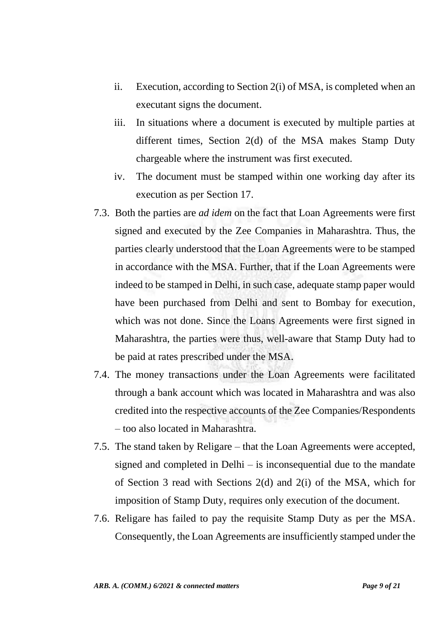- ii. Execution, according to Section 2(i) of MSA, is completed when an executant signs the document.
- iii. In situations where a document is executed by multiple parties at different times, Section 2(d) of the MSA makes Stamp Duty chargeable where the instrument was first executed.
- iv. The document must be stamped within one working day after its execution as per Section 17.
- 7.3. Both the parties are *ad idem* on the fact that Loan Agreements were first signed and executed by the Zee Companies in Maharashtra. Thus, the parties clearly understood that the Loan Agreements were to be stamped in accordance with the MSA. Further, that if the Loan Agreements were indeed to be stamped in Delhi, in such case, adequate stamp paper would have been purchased from Delhi and sent to Bombay for execution, which was not done. Since the Loans Agreements were first signed in Maharashtra, the parties were thus, well-aware that Stamp Duty had to be paid at rates prescribed under the MSA.
- 7.4. The money transactions under the Loan Agreements were facilitated through a bank account which was located in Maharashtra and was also credited into the respective accounts of the Zee Companies/Respondents – too also located in Maharashtra.
- 7.5. The stand taken by Religare that the Loan Agreements were accepted, signed and completed in Delhi – is inconsequential due to the mandate of Section 3 read with Sections 2(d) and 2(i) of the MSA, which for imposition of Stamp Duty, requires only execution of the document.
- 7.6. Religare has failed to pay the requisite Stamp Duty as per the MSA. Consequently, the Loan Agreements are insufficiently stamped under the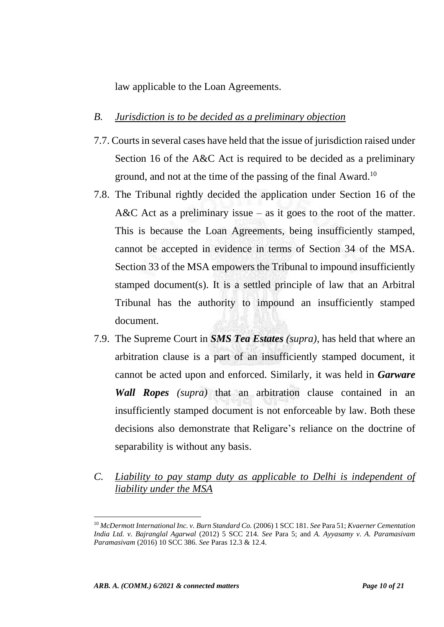law applicable to the Loan Agreements.

#### *B. Jurisdiction is to be decided as a preliminary objection*

- 7.7. Courts in several cases have held that the issue of jurisdiction raised under Section 16 of the A&C Act is required to be decided as a preliminary ground, and not at the time of the passing of the final Award.<sup>10</sup>
- 7.8. The Tribunal rightly decided the application under Section 16 of the A&C Act as a preliminary issue – as it goes to the root of the matter. This is because the Loan Agreements, being insufficiently stamped, cannot be accepted in evidence in terms of Section 34 of the MSA. Section 33 of the MSA empowers the Tribunal to impound insufficiently stamped document(s). It is a settled principle of law that an Arbitral Tribunal has the authority to impound an insufficiently stamped document.
- 7.9. The Supreme Court in *SMS Tea Estates (supra)*, has held that where an arbitration clause is a part of an insufficiently stamped document, it cannot be acted upon and enforced. Similarly, it was held in *Garware Wall Ropes (supra)* that an arbitration clause contained in an insufficiently stamped document is not enforceable by law. Both these decisions also demonstrate that Religare's reliance on the doctrine of separability is without any basis.
- *C. Liability to pay stamp duty as applicable to Delhi is independent of liability under the MSA*

<sup>10</sup> *McDermott International Inc. v. Burn Standard Co.* (2006) 1 SCC 181. *See* Para 51; *Kvaerner Cementation India Ltd. v. Bajranglal Agarwal* (2012) 5 SCC 214. *See* Para 5; and *A. Ayyasamy v. A. Paramasivam Paramasivam* (2016) 10 SCC 386. *See* Paras 12.3 & 12.4.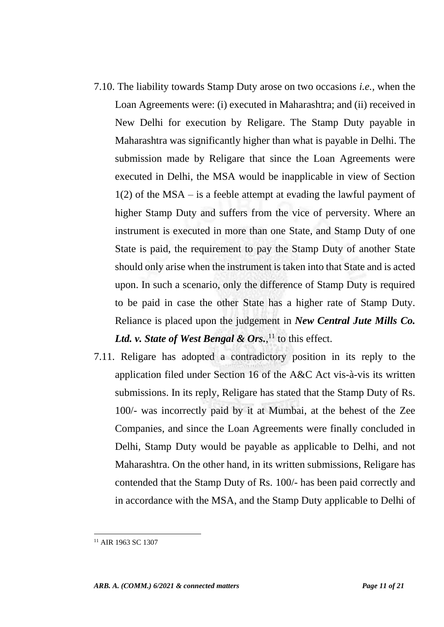- 7.10. The liability towards Stamp Duty arose on two occasions *i.e.,* when the Loan Agreements were: (i) executed in Maharashtra; and (ii) received in New Delhi for execution by Religare. The Stamp Duty payable in Maharashtra was significantly higher than what is payable in Delhi. The submission made by Religare that since the Loan Agreements were executed in Delhi, the MSA would be inapplicable in view of Section 1(2) of the MSA – is a feeble attempt at evading the lawful payment of higher Stamp Duty and suffers from the vice of perversity. Where an instrument is executed in more than one State, and Stamp Duty of one State is paid, the requirement to pay the Stamp Duty of another State should only arise when the instrument is taken into that State and is acted upon. In such a scenario, only the difference of Stamp Duty is required to be paid in case the other State has a higher rate of Stamp Duty. Reliance is placed upon the judgement in *New Central Jute Mills Co.*  Ltd. *v. State of West Bengal & Ors.*,<sup>11</sup> to this effect.
- 7.11. Religare has adopted a contradictory position in its reply to the application filed under Section 16 of the A&C Act vis-à-vis its written submissions. In its reply, Religare has stated that the Stamp Duty of Rs. 100/- was incorrectly paid by it at Mumbai, at the behest of the Zee Companies, and since the Loan Agreements were finally concluded in Delhi, Stamp Duty would be payable as applicable to Delhi, and not Maharashtra. On the other hand, in its written submissions, Religare has contended that the Stamp Duty of Rs. 100/- has been paid correctly and in accordance with the MSA, and the Stamp Duty applicable to Delhi of

<sup>11</sup> AIR 1963 SC 1307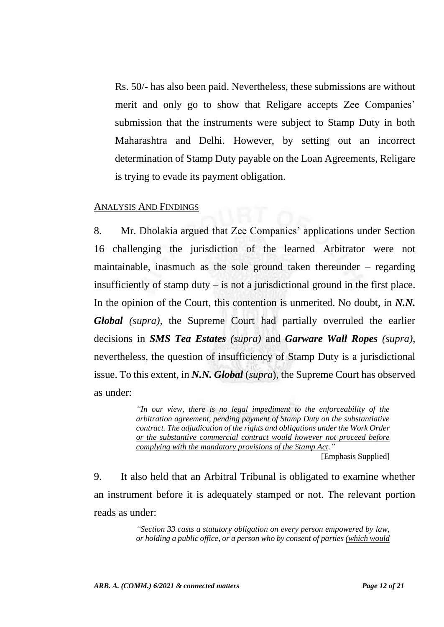Rs. 50/- has also been paid. Nevertheless, these submissions are without merit and only go to show that Religare accepts Zee Companies' submission that the instruments were subject to Stamp Duty in both Maharashtra and Delhi. However, by setting out an incorrect determination of Stamp Duty payable on the Loan Agreements, Religare is trying to evade its payment obligation.

#### ANALYSIS AND FINDINGS

8. Mr. Dholakia argued that Zee Companies' applications under Section 16 challenging the jurisdiction of the learned Arbitrator were not maintainable, inasmuch as the sole ground taken thereunder – regarding insufficiently of stamp duty – is not a jurisdictional ground in the first place. In the opinion of the Court, this contention is unmerited. No doubt, in *N.N. Global (supra)*, the Supreme Court had partially overruled the earlier decisions in *SMS Tea Estates (supra)* and *Garware Wall Ropes (supra)*, nevertheless, the question of insufficiency of Stamp Duty is a jurisdictional issue. To this extent, in *N.N. Global* (*supra*), the Supreme Court has observed as under:

> *"In our view, there is no legal impediment to the enforceability of the arbitration agreement, pending payment of Stamp Duty on the substantiative contract. The adjudication of the rights and obligations under the Work Order or the substantive commercial contract would however not proceed before complying with the mandatory provisions of the Stamp Act."*

[Emphasis Supplied]

9. It also held that an Arbitral Tribunal is obligated to examine whether an instrument before it is adequately stamped or not. The relevant portion reads as under:

> *"Section 33 casts a statutory obligation on every person empowered by law, or holding a public office, or a person who by consent of parties (which would*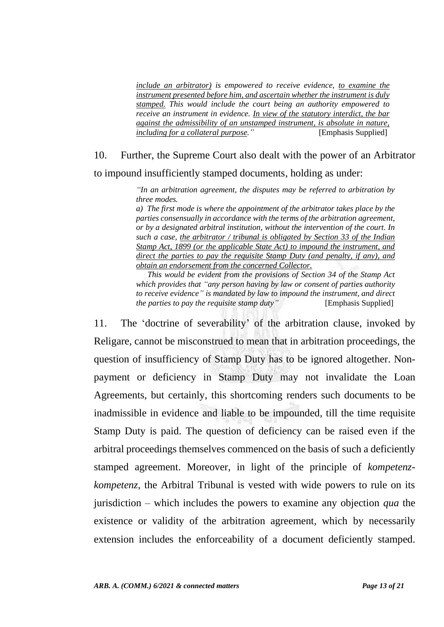*include an arbitrator) is empowered to receive evidence, to examine the instrument presented before him, and ascertain whether the instrument is duly stamped. This would include the court being an authority empowered to receive an instrument in evidence. In view of the statutory interdict, the bar against the admissibility of an unstamped instrument, is absolute in nature, including for a collateral purpose."* [Emphasis Supplied]

## 10. Further, the Supreme Court also dealt with the power of an Arbitrator to impound insufficiently stamped documents, holding as under:

*"In an arbitration agreement, the disputes may be referred to arbitration by three modes.* 

*a) The first mode is where the appointment of the arbitrator takes place by the parties consensually in accordance with the terms of the arbitration agreement, or by a designated arbitral institution, without the intervention of the court. In such a case, the arbitrator / tribunal is obligated by Section 33 of the Indian Stamp Act, 1899 (or the applicable State Act) to impound the instrument, and direct the parties to pay the requisite Stamp Duty (and penalty, if any), and obtain an endorsement from the concerned Collector.*

*This would be evident from the provisions of Section 34 of the Stamp Act which provides that "any person having by law or consent of parties authority to receive evidence" is mandated by law to impound the instrument, and direct the parties to pay the requisite stamp duty*" [Emphasis Supplied]

11. The 'doctrine of severability' of the arbitration clause, invoked by Religare, cannot be misconstrued to mean that in arbitration proceedings, the question of insufficiency of Stamp Duty has to be ignored altogether. Nonpayment or deficiency in Stamp Duty may not invalidate the Loan Agreements, but certainly, this shortcoming renders such documents to be inadmissible in evidence and liable to be impounded, till the time requisite Stamp Duty is paid. The question of deficiency can be raised even if the arbitral proceedings themselves commenced on the basis of such a deficiently stamped agreement. Moreover, in light of the principle of *kompetenzkompetenz*, the Arbitral Tribunal is vested with wide powers to rule on its jurisdiction – which includes the powers to examine any objection *qua* the existence or validity of the arbitration agreement, which by necessarily extension includes the enforceability of a document deficiently stamped.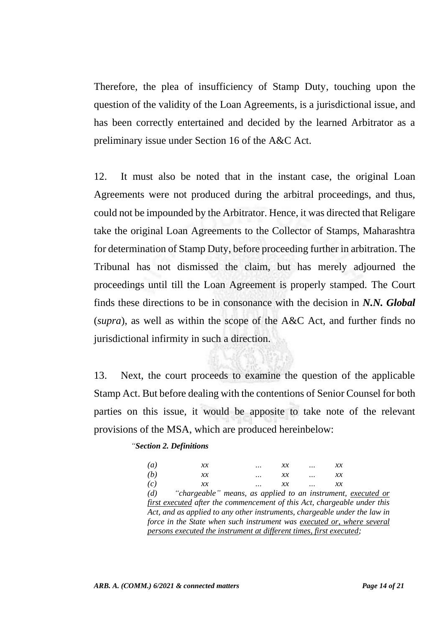Therefore, the plea of insufficiency of Stamp Duty, touching upon the question of the validity of the Loan Agreements, is a jurisdictional issue, and has been correctly entertained and decided by the learned Arbitrator as a preliminary issue under Section 16 of the A&C Act.

12. It must also be noted that in the instant case, the original Loan Agreements were not produced during the arbitral proceedings, and thus, could not be impounded by the Arbitrator. Hence, it was directed that Religare take the original Loan Agreements to the Collector of Stamps, Maharashtra for determination of Stamp Duty, before proceeding further in arbitration. The Tribunal has not dismissed the claim, but has merely adjourned the proceedings until till the Loan Agreement is properly stamped. The Court finds these directions to be in consonance with the decision in *N.N. Global* (*supra*), as well as within the scope of the A&C Act, and further finds no jurisdictional infirmity in such a direction.

13. Next, the court proceeds to examine the question of the applicable Stamp Act. But before dealing with the contentions of Senior Counsel for both parties on this issue, it would be apposite to take note of the relevant provisions of the MSA, which are produced hereinbelow:

#### *"Section 2. Definitions*

| $\left(a\right)$                                                          | $\chi\chi$                                                   |  | x x        |  | x x        |  |
|---------------------------------------------------------------------------|--------------------------------------------------------------|--|------------|--|------------|--|
| (b)                                                                       | $\chi\chi$                                                   |  | $\chi\chi$ |  | $\chi\chi$ |  |
| (c)                                                                       | $\chi\chi$                                                   |  | хx         |  | $\chi\chi$ |  |
| (d)                                                                       | "chargeable" means, as applied to an instrument, executed or |  |            |  |            |  |
| first executed after the commencement of this Act, chargeable under this  |                                                              |  |            |  |            |  |
| Act, and as applied to any other instruments, chargeable under the law in |                                                              |  |            |  |            |  |
| force in the State when such instrument was executed or, where several    |                                                              |  |            |  |            |  |
| persons executed the instrument at different times, first executed;       |                                                              |  |            |  |            |  |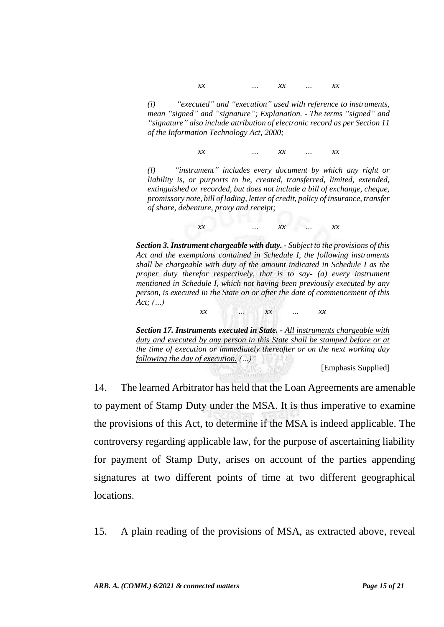*xx … xx … xx*

*(i) "executed" and "execution" used with reference to instruments, mean "signed" and "signature"; Explanation. - The terms "signed" and "signature" also include attribution of electronic record as per Section 11 of the Information Technology Act, 2000;*

*xx … xx … xx*

*(l) "instrument" includes every document by which any right or liability is, or purports to be, created, transferred, limited, extended, extinguished or recorded, but does not include a bill of exchange, cheque, promissory note, bill of lading, letter of credit, policy of insurance, transfer of share, debenture, proxy and receipt;* 

*xx … xx … xx*

*Section 3. Instrument chargeable with duty. - Subject to the provisions of this Act and the exemptions contained in Schedule I, the following instruments shall be chargeable with duty of the amount indicated in Schedule I as the proper duty therefor respectively, that is to say- (a) every instrument mentioned in Schedule I, which not having been previously executed by any person, is executed in the State on or after the date of commencement of this Act; (…) xx … xx … xx*

*Section 17. Instruments executed in State. - All instruments chargeable with duty and executed by any person in this State shall be stamped before or at the time of execution or immediately thereafter or on the next working day following the day of execution. (…)"*

[Emphasis Supplied]

14. The learned Arbitrator has held that the Loan Agreements are amenable to payment of Stamp Duty under the MSA. It is thus imperative to examine the provisions of this Act, to determine if the MSA is indeed applicable. The controversy regarding applicable law, for the purpose of ascertaining liability for payment of Stamp Duty, arises on account of the parties appending signatures at two different points of time at two different geographical locations.

15. A plain reading of the provisions of MSA, as extracted above, reveal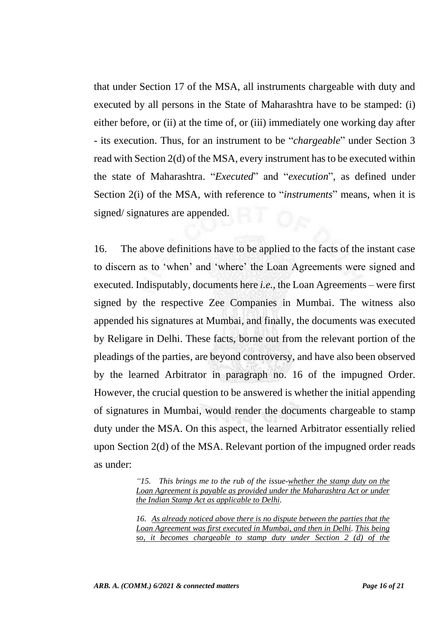that under Section 17 of the MSA, all instruments chargeable with duty and executed by all persons in the State of Maharashtra have to be stamped: (i) either before, or (ii) at the time of, or (iii) immediately one working day after - its execution. Thus, for an instrument to be "*chargeable*" under Section 3 read with Section 2(d) of the MSA, every instrument has to be executed within the state of Maharashtra. "*Executed*" and "*execution*", as defined under Section 2(i) of the MSA, with reference to "*instruments*" means, when it is signed/ signatures are appended.

16. The above definitions have to be applied to the facts of the instant case to discern as to 'when' and 'where' the Loan Agreements were signed and executed. Indisputably, documents here *i.e.,* the Loan Agreements – were first signed by the respective Zee Companies in Mumbai. The witness also appended his signatures at Mumbai, and finally, the documents was executed by Religare in Delhi. These facts, borne out from the relevant portion of the pleadings of the parties, are beyond controversy, and have also been observed by the learned Arbitrator in paragraph no. 16 of the impugned Order. However, the crucial question to be answered is whether the initial appending of signatures in Mumbai, would render the documents chargeable to stamp duty under the MSA. On this aspect, the learned Arbitrator essentially relied upon Section 2(d) of the MSA. Relevant portion of the impugned order reads as under:

> *"15. This brings me to the rub of the issue-whether the stamp duty on the Loan Agreement is payable as provided under the Maharashtra Act or under the Indian Stamp Act as applicable to Delhi.*

> *16. As already noticed above there is no dispute between the parties that the Loan Agreement was first executed in Mumbai, and then in Delhi. This being so, it becomes chargeable to stamp duty under Section 2 (d) of the*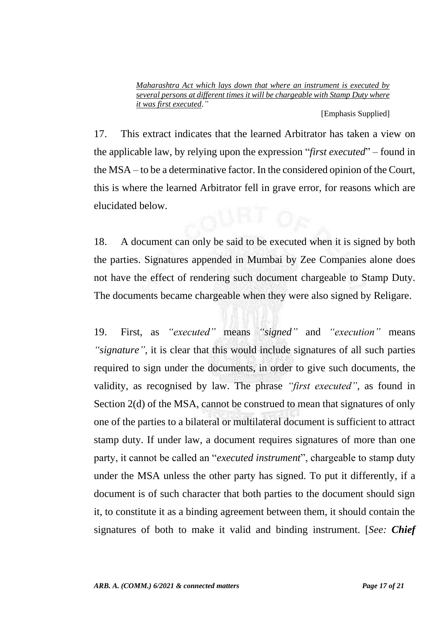*Maharashtra Act which lays down that where an instrument is executed by several persons at different times it will be chargeable with Stamp Duty where it was first executed*.*"*

[Emphasis Supplied]

17. This extract indicates that the learned Arbitrator has taken a view on the applicable law, by relying upon the expression "*first executed*" – found in the MSA – to be a determinative factor. In the considered opinion of the Court, this is where the learned Arbitrator fell in grave error, for reasons which are elucidated below.

18. A document can only be said to be executed when it is signed by both the parties. Signatures appended in Mumbai by Zee Companies alone does not have the effect of rendering such document chargeable to Stamp Duty. The documents became chargeable when they were also signed by Religare.

19. First, as *"executed"* means *"signed"* and *"execution"* means *"signature"*, it is clear that this would include signatures of all such parties required to sign under the documents, in order to give such documents, the validity, as recognised by law. The phrase *"first executed"*, as found in Section 2(d) of the MSA, cannot be construed to mean that signatures of only one of the parties to a bilateral or multilateral document is sufficient to attract stamp duty. If under law, a document requires signatures of more than one party, it cannot be called an "*executed instrument*", chargeable to stamp duty under the MSA unless the other party has signed. To put it differently, if a document is of such character that both parties to the document should sign it, to constitute it as a binding agreement between them, it should contain the signatures of both to make it valid and binding instrument. [*See: Chief*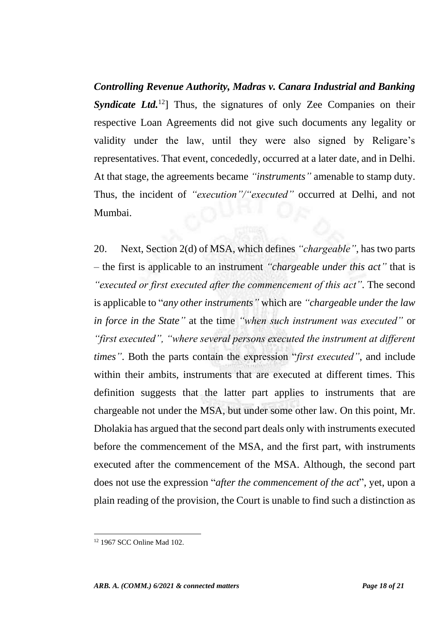*Controlling Revenue Authority, Madras v. Canara Industrial and Banking Syndicate Ltd.*<sup>12</sup>] Thus, the signatures of only Zee Companies on their respective Loan Agreements did not give such documents any legality or validity under the law, until they were also signed by Religare's representatives. That event, concededly, occurred at a later date, and in Delhi. At that stage, the agreements became *"instruments"* amenable to stamp duty. Thus, the incident of *"execution"/"executed"* occurred at Delhi, and not Mumbai.

20. Next, Section 2(d) of MSA, which defines *"chargeable"*, has two parts – the first is applicable to an instrument *"chargeable under this act"* that is *"executed or first executed after the commencement of this act"*. The second is applicable to "*any other instruments"* which are *"chargeable under the law in force in the State"* at the time *"when such instrument was executed"* or *"first executed", "where several persons executed the instrument at different times"*. Both the parts contain the expression "*first executed"*, and include within their ambits, instruments that are executed at different times. This definition suggests that the latter part applies to instruments that are chargeable not under the MSA, but under some other law. On this point, Mr. Dholakia has argued that the second part deals only with instruments executed before the commencement of the MSA, and the first part, with instruments executed after the commencement of the MSA. Although, the second part does not use the expression "*after the commencement of the act*", yet, upon a plain reading of the provision, the Court is unable to find such a distinction as

<sup>12</sup> 1967 SCC Online Mad 102.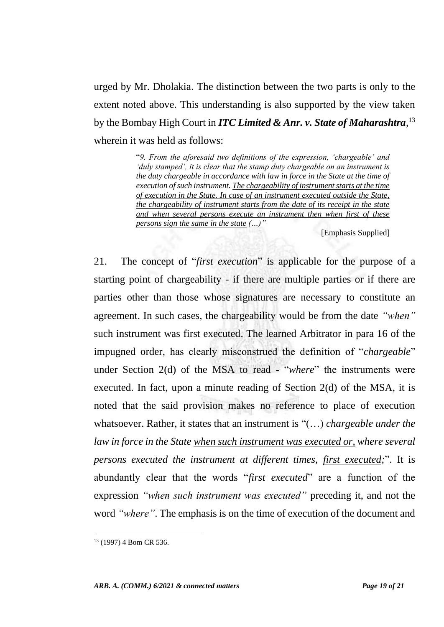urged by Mr. Dholakia. The distinction between the two parts is only to the extent noted above. This understanding is also supported by the view taken by the Bombay High Court in *ITC Limited & Anr. v. State of Maharashtra*, 13 wherein it was held as follows:

> "*9. From the aforesaid two definitions of the expression, 'chargeable' and 'duly stamped', it is clear that the stamp duty chargeable on an instrument is the duty chargeable in accordance with law in force in the State at the time of execution of such instrument. The chargeability of instrument starts at the time of execution in the State. In case of an instrument executed outside the State, the chargeability of instrument starts from the date of its receipt in the state and when several persons execute an instrument then when first of these persons sign the same in the state (…)"*

> > [Emphasis Supplied]

21. The concept of "*first execution*" is applicable for the purpose of a starting point of chargeability - if there are multiple parties or if there are parties other than those whose signatures are necessary to constitute an agreement. In such cases, the chargeability would be from the date *"when"*  such instrument was first executed. The learned Arbitrator in para 16 of the impugned order, has clearly misconstrued the definition of "*chargeable*" under Section 2(d) of the MSA to read - "*where*" the instruments were executed. In fact, upon a minute reading of Section 2(d) of the MSA, it is noted that the said provision makes no reference to place of execution whatsoever. Rather, it states that an instrument is "(…) *chargeable under the law in force in the State when such instrument was executed or, where several persons executed the instrument at different times, first executed;*". It is abundantly clear that the words "*first executed*" are a function of the expression *"when such instrument was executed"* preceding it, and not the word *"where"*. The emphasis is on the time of execution of the document and

<sup>13</sup> (1997) 4 Bom CR 536.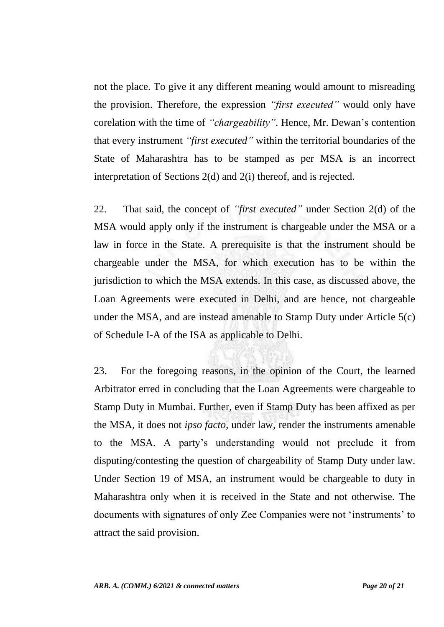not the place. To give it any different meaning would amount to misreading the provision. Therefore, the expression *"first executed"* would only have corelation with the time of *"chargeability"*. Hence, Mr. Dewan's contention that every instrument *"first executed"* within the territorial boundaries of the State of Maharashtra has to be stamped as per MSA is an incorrect interpretation of Sections 2(d) and 2(i) thereof, and is rejected.

22. That said, the concept of *"first executed"* under Section 2(d) of the MSA would apply only if the instrument is chargeable under the MSA or a law in force in the State. A prerequisite is that the instrument should be chargeable under the MSA, for which execution has to be within the jurisdiction to which the MSA extends. In this case, as discussed above, the Loan Agreements were executed in Delhi, and are hence, not chargeable under the MSA, and are instead amenable to Stamp Duty under Article 5(c) of Schedule I-A of the ISA as applicable to Delhi.

23. For the foregoing reasons, in the opinion of the Court, the learned Arbitrator erred in concluding that the Loan Agreements were chargeable to Stamp Duty in Mumbai. Further, even if Stamp Duty has been affixed as per the MSA, it does not *ipso facto*, under law, render the instruments amenable to the MSA. A party's understanding would not preclude it from disputing/contesting the question of chargeability of Stamp Duty under law. Under Section 19 of MSA, an instrument would be chargeable to duty in Maharashtra only when it is received in the State and not otherwise. The documents with signatures of only Zee Companies were not 'instruments' to attract the said provision.